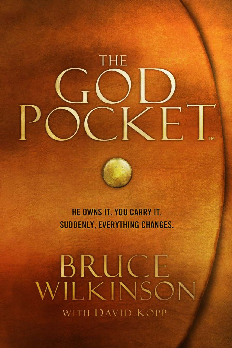THE

HE OWNS IT. YOU CARRY IT. **SUDDENLY, EVERYTHING CHANGES.** 

BRUCE<br>VILKINSON WITH DAVID KOPP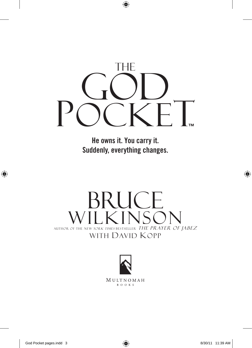

**He owns it. You carry it. Suddenly, everything changes.**

# **BRUCE** NULL KINSON NEW YORK TIMES BESTSELLER THE PRAYER OF JABEZ with David Kopp



MULTNOMAH B O O K S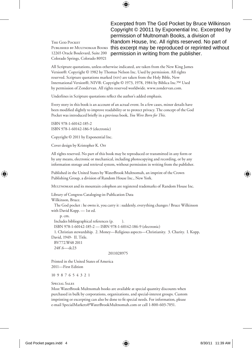The God Pocket 12265 Oracle Boulevard, Suite 200 Colorado Springs, Colorado 80921

PUBLISHED BY MULTNOMAH BOOKS this excerpt may be reproduced or reprinted without Excerpted from The God Pocket by Bruce Wilkinson Copyright © 20011 by Exponential Inc. Excerpted by permission of Multnomah Books, a division of Random House, Inc. All rights reserved. No part of permission in writing from the publisher.

All Scripture quotations, unless otherwise indicated, are taken from the New King James Version®. Copyright © 1982 by Thomas Nelson Inc. Used by permission. All rights reserved. Scripture quotations marked (NIV) are taken from the Holy Bible, New International Version®, NIV®. Copyright © 1973, 1978, 1984 by Biblica Inc.™ Used by permission of Zondervan. All rights reserved worldwide. www.zondervan.com.

Underlines in Scripture quotations reflect the author's added emphasis.

Every story in this book is an account of an actual event. In a few cases, minor details have been modified slightly to improve readability or to protect privacy. The concept of the God Pocket was introduced briefly in a previous book, *You Were Born for This.*

ISBN 978-1-60142-185-2 ISBN 978-1-60142-186-9 (electronic)

Copyright © 2011 by Exponential Inc.

Cover design by Kristopher K. Orr

All rights reserved. No part of this book may be reproduced or transmitted in any form or by any means, electronic or mechanical, including photocopying and recording, or by any information storage and retrieval system, without permission in writing from the publisher.

Published in the United States by WaterBrook Multnomah, an imprint of the Crown Publishing Group, a division of Random House Inc., New York.

MULTNOMAH and its mountain colophon are registered trademarks of Random House Inc.

Library of Congress Cataloging-in-Publication Data Wilkinson, Bruce. The God pocket : he owns it, you carry it : suddenly, everything changes / Bruce Wilkinson with David Kopp. — 1st ed. p. cm. Includes bibliographical references (p. ).

ISBN 978-1-60142-185-2 — ISBN 978-1-60142-186-9 (electronic)

 1. Christian stewardship. 2. Money—Religious aspects—Christianity. 3. Charity. I. Kopp, David, 1949- II. Title.

 BV772.W48 2011 248'.6—dc23

#### 2011028975

Printed in the United States of America 2011—First Edition

10 9 8 7 6 5 4 3 2 1

#### Special Sales

Most WaterBrook Multnomah books are available at special quantity discounts when purchased in bulk by corporations, organizations, and special-interest groups. Custom imprinting or excerpting can also be done to fit special needs. For information, please e-mail SpecialMarkets@WaterBrookMultnomah.com or call 1-800-603-7051.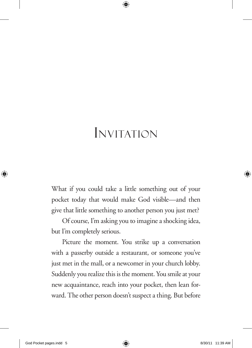## Invitation

What if you could take a little something out of your pocket today that would make God visible—and then give that little something to another person you just met?

Of course, I'm asking you to imagine a shocking idea, but I'm completely serious.

Picture the moment. You strike up a conversation with a passerby outside a restaurant, or someone you've just met in the mall, or a newcomer in your church lobby. Suddenly you realize this is the moment. You smile at your new acquaintance, reach into your pocket, then lean forward. The other person doesn't suspect a thing. But before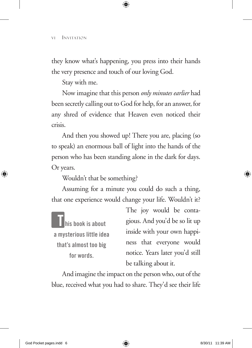they know what's happening, you press into their hands the very presence and touch of our loving God.

Stay with me.

Now imagine that this person *only minutes earlier* had been secretly calling out to God for help, for an answer, for any shred of evidence that Heaven even noticed their crisis.

And then you showed up! There you are, placing (so to speak) an enormous ball of light into the hands of the person who has been standing alone in the dark for days. Or years.

Wouldn't that be something?

Assuming for a minute you could do such a thing, that one experience would change your life. Wouldn't it?

**T his book is about a mysterious little idea that's almost too big for words.**

The joy would be contagious. And you'd be so lit up inside with your own happiness that everyone would notice. Years later you'd still be talking about it.

And imagine the impact on the person who, out of the blue, received what you had to share. They'd see their life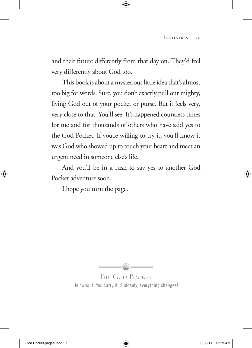and their future differently from that day on. They'd feel very differently about God too.

This book is about a mysterious little idea that's almost too big for words. Sure, you don't exactly pull our mighty, living God out of your pocket or purse. But it feels very, very close to that. You'll see. It's happened countless times for me and for thousands of others who have said yes to the God Pocket. If you're willing to try it, you'll know it was God who showed up to touch your heart and meet an urgent need in someone else's life.

And you'll be in a rush to say yes to another God Pocket adventure soon.

I hope you turn the page.



The God Pocket He owns it. You carry it. Suddenly, everything changes!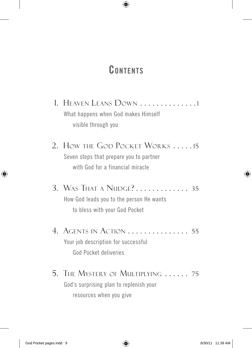## **Contents**

- 1. HEAVEN LEANS DOWN . . . . . . . . . . . . . 1 What happens when God makes Himself visible through you
- 2. How the God Pocket Works . . . . . 15 Seven steps that prepare you to partner with God for a financial miracle
- 3. WAS THAT A NUDGE? . . . . . . . . . . . . 35 How God leads you to the person He wants to bless with your God Pocket
- 4. Agents in Action . . 55 Your job description for successful God Pocket deliveries
- 5. The Mystery of Multiplying  $\ldots$  75 God's surprising plan to replenish your resources when you give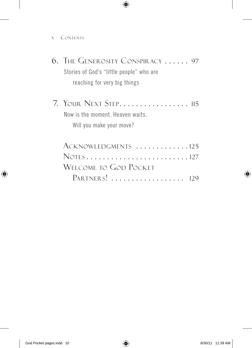x Contents

| 6. The Generosity Conspiracy  97         |
|------------------------------------------|
| Stories of God's "little people" who are |
| reaching for very big things             |
| 7. YOUR NEXT STEP 115                    |
| Now is the moment. Heaven waits.         |
| Will you make your move?                 |
| ACKNOWLEDGMENTS 125                      |
|                                          |

| WELCOME TO GOD POCKET |  |
|-----------------------|--|
| PARTNERS!  129        |  |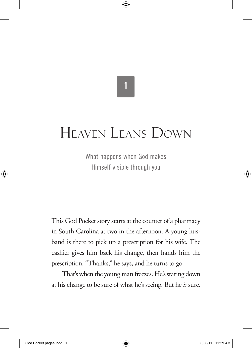# **1**

## Heaven Leans Down

What happens when God makes Himself visible through you

This God Pocket story starts at the counter of a pharmacy in South Carolina at two in the afternoon. A young husband is there to pick up a prescription for his wife. The cashier gives him back his change, then hands him the prescription. "Thanks," he says, and he turns to go.

That's when the young man freezes. He's staring down at his change to be sure of what he's seeing. But he *is* sure.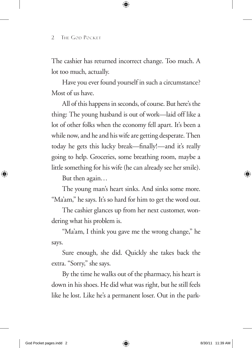The cashier has returned incorrect change. Too much. A lot too much, actually.

Have you ever found yourself in such a circumstance? Most of us have.

All of this happens in seconds, of course. But here's the thing: The young husband is out of work—laid off like a lot of other folks when the economy fell apart. It's been a while now, and he and his wife are getting desperate. Then today he gets this lucky break—finally!—and it's really going to help. Groceries, some breathing room, maybe a little something for his wife (he can already see her smile).

But then again…

The young man's heart sinks. And sinks some more. "Ma'am," he says. It's so hard for him to get the word out.

The cashier glances up from her next customer, wondering what his problem is.

"Ma'am, I think you gave me the wrong change," he says.

Sure enough, she did. Quickly she takes back the extra. "Sorry," she says.

By the time he walks out of the pharmacy, his heart is down in his shoes. He did what was right, but he still feels like he lost. Like he's a permanent loser. Out in the park-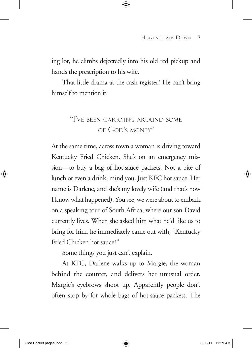ing lot, he climbs dejectedly into his old red pickup and hands the prescription to his wife.

That little drama at the cash register? He can't bring himself to mention it.

### "I've been carrying around some of God's money"

At the same time, across town a woman is driving toward Kentucky Fried Chicken. She's on an emergency mission—to buy a bag of hot-sauce packets. Not a bite of lunch or even a drink, mind you. Just KFC hot sauce. Her name is Darlene, and she's my lovely wife (and that's how I know what happened). You see, we were about to embark on a speaking tour of South Africa, where our son David currently lives. When she asked him what he'd like us to bring for him, he immediately came out with, "Kentucky Fried Chicken hot sauce!"

Some things you just can't explain.

At KFC, Darlene walks up to Margie, the woman behind the counter, and delivers her unusual order. Margie's eyebrows shoot up. Apparently people don't often stop by for whole bags of hot-sauce packets. The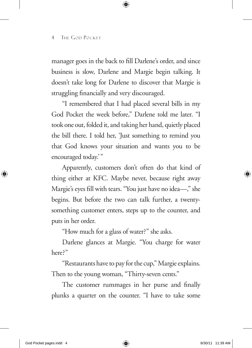manager goes in the back to fill Darlene's order, and since business is slow, Darlene and Margie begin talking. It doesn't take long for Darlene to discover that Margie is struggling financially and very discouraged.

"I remembered that I had placed several bills in my God Pocket the week before," Darlene told me later. "I took one out, folded it, and taking her hand, quietly placed the bill there. I told her, 'Just something to remind you that God knows your situation and wants you to be encouraged today.'"

Apparently, customers don't often do that kind of thing either at KFC. Maybe never, because right away Margie's eyes fill with tears. "You just have no idea—," she begins. But before the two can talk further, a twentysomething customer enters, steps up to the counter, and puts in her order.

"How much for a glass of water?" she asks.

Darlene glances at Margie. "You charge for water here?"

"Restaurants have to pay for the cup," Margie explains. Then to the young woman, "Thirty-seven cents."

The customer rummages in her purse and finally plunks a quarter on the counter. "I have to take some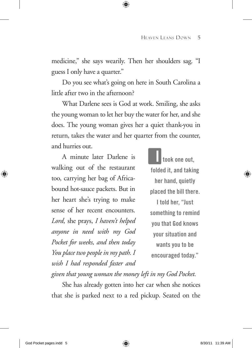medicine," she says wearily. Then her shoulders sag. "I guess I only have a quarter."

Do you see what's going on here in South Carolina a little after two in the afternoon?

What Darlene sees is God at work. Smiling, she asks the young woman to let her buy the water for her, and she does. The young woman gives her a quiet thank-you in return, takes the water and her quarter from the counter, and hurries out.

A minute later Darlene is walking out of the restaurant too, carrying her bag of Africabound hot-sauce packets. But in her heart she's trying to make sense of her recent encounters. *Lord,* she prays, *I haven't helped anyone in need with my God Pocket for weeks, and then today You place two people in my path. I wish I had responded faster and* 

**I took one out, folded it, and taking her hand, quietly placed the bill there. I told her, "Just something to remind you that God knows your situation and wants you to be encouraged today."**

*given that young woman the money left in my God Pocket.*

She has already gotten into her car when she notices that she is parked next to a red pickup. Seated on the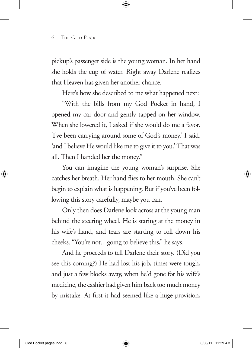pickup's passenger side is the young woman. In her hand she holds the cup of water. Right away Darlene realizes that Heaven has given her another chance.

Here's how she described to me what happened next:

"With the bills from my God Pocket in hand, I opened my car door and gently tapped on her window. When she lowered it, I asked if she would do me a favor. 'I've been carrying around some of God's money,' I said, 'and I believe He would like me to give it to you.' That was all. Then I handed her the money."

You can imagine the young woman's surprise. She catches her breath. Her hand flies to her mouth. She can't begin to explain what is happening. But if you've been following this story carefully, maybe you can.

Only then does Darlene look across at the young man behind the steering wheel. He is staring at the money in his wife's hand, and tears are starting to roll down his cheeks. "You're not…going to believe this," he says.

And he proceeds to tell Darlene their story. (Did you see this coming?) He had lost his job, times were tough, and just a few blocks away, when he'd gone for his wife's medicine, the cashier had given him back too much money by mistake. At first it had seemed like a huge provision,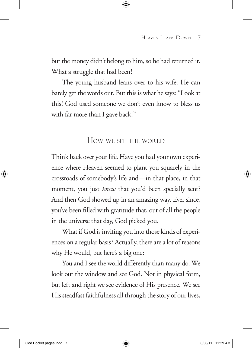but the money didn't belong to him, so he had returned it. What a struggle that had been!

The young husband leans over to his wife. He can barely get the words out. But this is what he says: "Look at this! God used someone we don't even know to bless us with far more than I gave back!"

### How we see the world

Think back over your life. Have you had your own experience where Heaven seemed to plant you squarely in the crossroads of somebody's life and—in that place, in that moment, you just *knew* that you'd been specially sent? And then God showed up in an amazing way. Ever since, you've been filled with gratitude that, out of all the people in the universe that day, God picked you.

What if God is inviting you into those kinds of experiences on a regular basis? Actually, there are a lot of reasons why He would, but here's a big one:

You and I see the world differently than many do. We look out the window and see God. Not in physical form, but left and right we see evidence of His presence. We see His steadfast faithfulness all through the story of our lives,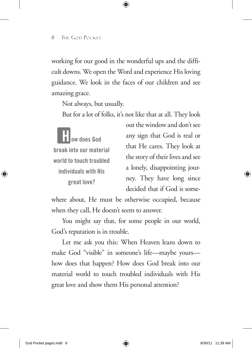working for our good in the wonderful ups and the difficult downs. We open the Word and experience His loving guidance. We look in the faces of our children and see amazing grace.

Not always, but usually.

But for a lot of folks, it's not like that at all. They look

**How does God break into our material world to touch troubled individuals with His great love?**

out the window and don't see any sign that God is real or that He cares. They look at the story of their lives and see a lonely, disappointing journey. They have long since decided that if God is some-

where about, He must be otherwise occupied, because when they call, He doesn't seem to answer.

You might say that, for some people in our world, God's reputation is in trouble.

Let me ask you this: When Heaven leans down to make God "visible" in someone's life—maybe yours how does that happen? How does God break into our material world to touch troubled individuals with His great love and show them His personal attention?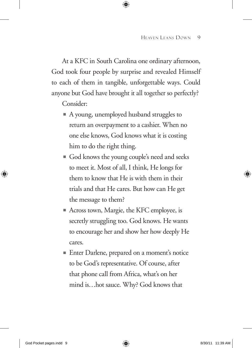At a KFC in South Carolina one ordinary afternoon, God took four people by surprise and revealed Himself to each of them in tangible, unforgettable ways. Could anyone but God have brought it all together so perfectly?

Consider:

- A young, unemployed husband struggles to return an overpayment to a cashier. When no one else knows, God knows what it is costing him to do the right thing.
- God knows the young couple's need and seeks to meet it. Most of all, I think, He longs for them to know that He is with them in their trials and that He cares. But how can He get the message to them?
- Across town, Margie, the KFC employee, is secretly struggling too. God knows. He wants to encourage her and show her how deeply He cares.
- Enter Darlene, prepared on a moment's notice to be God's representative. Of course, after that phone call from Africa, what's on her mind is…hot sauce. Why? God knows that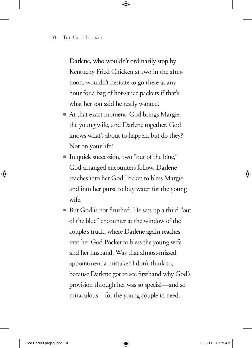Darlene, who wouldn't ordinarily stop by Kentucky Fried Chicken at two in the afternoon, wouldn't hesitate to go there at any hour for a bag of hot-sauce packets if that's what her son said he really wanted.

- At that exact moment, God brings Margie, the young wife, and Darlene together. God knows what's about to happen, but do they? Not on your life!
- In quick succession, two "out of the blue," God-arranged encounters follow. Darlene reaches into her God Pocket to bless Margie and into her purse to buy water for the young wife.
- But God is not finished. He sets up a third "out of the blue" encounter at the window of the couple's truck, where Darlene again reaches into her God Pocket to bless the young wife and her husband. Was that almost-missed appointment a mistake? I don't think so, because Darlene got to see firsthand why God's provision through her was so special—and so miraculous—for the young couple in need.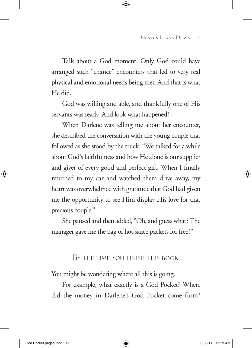Talk about a God moment! Only God could have arranged such "chance" encounters that led to very real physical and emotional needs being met. And that is what He did.

God was willing and able, and thankfully one of His servants was ready. And look what happened!

When Darlene was telling me about her encounter, she described the conversation with the young couple that followed as she stood by the truck. "We talked for a while about God's faithfulness and how He alone is our supplier and giver of every good and perfect gift. When I finally returned to my car and watched them drive away, my heart was overwhelmed with gratitude that God had given me the opportunity to see Him display His love for that precious couple."

She paused and then added, "Oh, and guess what? The manager gave me the bag of hot-sauce packets for free!"

### By the time you finish this book

You might be wondering where all this is going.

For example, what exactly is a God Pocket? Where did the money in Darlene's God Pocket come from?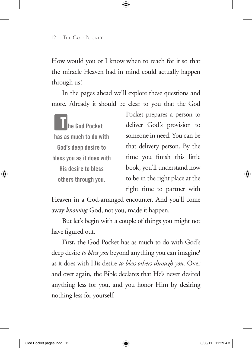How would you or I know when to reach for it so that the miracle Heaven had in mind could actually happen through us?

In the pages ahead we'll explore these questions and more. Already it should be clear to you that the God

**T he God Pocket has as much to do with God's deep desire to bless you as it does with His desire to bless others through you.**

Pocket prepares a person to deliver God's provision to someone in need. You can be that delivery person. By the time you finish this little book, you'll understand how to be in the right place at the right time to partner with

Heaven in a God-arranged encounter. And you'll come away *knowing* God, not you, made it happen.

But let's begin with a couple of things you might not have figured out.

First, the God Pocket has as much to do with God's deep desire *to bless you* beyond anything you can imagine<sup>1</sup> as it does with His desire *to bless others through you.* Over and over again, the Bible declares that He's never desired anything less for you, and you honor Him by desiring nothing less for yourself.